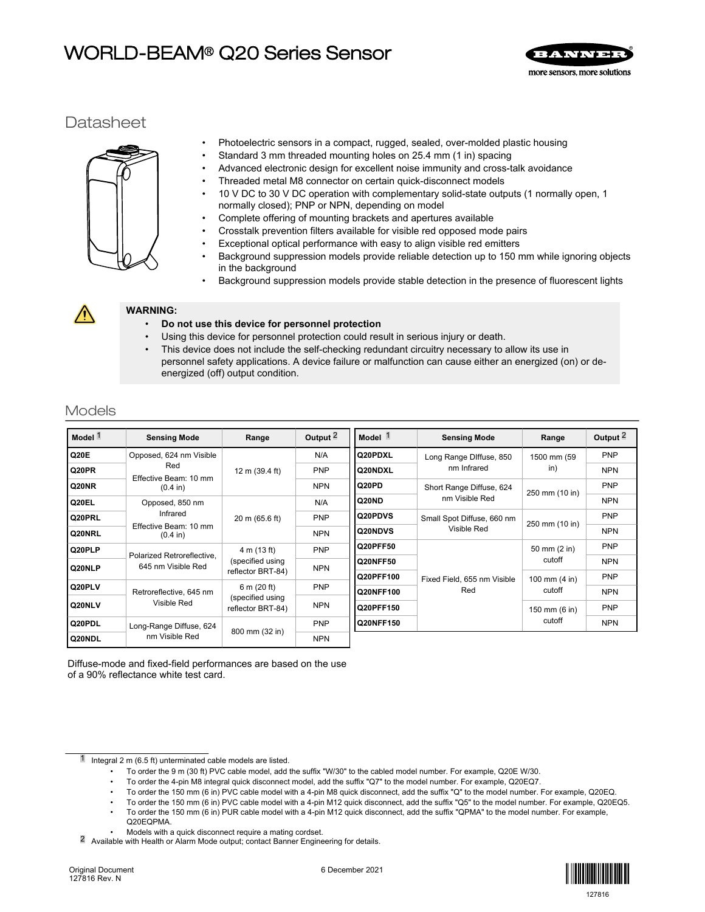# WORLD-BEAM® Q20 Series Sensor



# **Datasheet**



- Photoelectric sensors in a compact, rugged, sealed, over-molded plastic housing
- Standard 3 mm threaded mounting holes on 25.4 mm (1 in) spacing
- Advanced electronic design for excellent noise immunity and cross-talk avoidance
- Threaded metal M8 connector on certain quick-disconnect models
- 10 V DC to 30 V DC operation with complementary solid-state outputs (1 normally open, 1 normally closed); PNP or NPN, depending on model
- Complete offering of mounting brackets and apertures available
- Crosstalk prevention filters available for visible red opposed mode pairs
- Exceptional optical performance with easy to align visible red emitters
- Background suppression models provide reliable detection up to 150 mm while ignoring objects in the background
- Background suppression models provide stable detection in the presence of fluorescent lights



## **WARNING:**

- **Do not use this device for personnel protection**
- Using this device for personnel protection could result in serious injury or death.
- This device does not include the self-checking redundant circuitry necessary to allow its use in personnel safety applications. A device failure or malfunction can cause either an energized (on) or deenergized (off) output condition.

# Models

| Model <sup>1</sup> | <b>Sensing Mode</b>                              | Range                                                | Output $\frac{2}{3}$ | Model <sup>1</sup> | <b>Sensing Mode</b>                       | Range                                               | Output <sup>2</sup> |
|--------------------|--------------------------------------------------|------------------------------------------------------|----------------------|--------------------|-------------------------------------------|-----------------------------------------------------|---------------------|
| Q20E               | Opposed, 624 nm Visible                          |                                                      | N/A                  | Q20PDXL            | Long Range Diffuse, 850<br>nm Infrared    | 1500 mm (59<br>in)                                  | <b>PNP</b>          |
| Q20PR              | Red                                              | 12 m (39.4 ft)                                       | <b>PNP</b>           | Q20NDXL            |                                           |                                                     | <b>NPN</b>          |
| Q20NR              | Effective Beam: 10 mm<br>$(0.4 \text{ in})$      |                                                      | <b>NPN</b>           | Q20PD              | Short Range Diffuse, 624                  | 250 mm (10 in)                                      | PNP                 |
| Q20EL              | Opposed, 850 nm                                  |                                                      | N/A                  | Q20ND              | nm Visible Red                            |                                                     | <b>NPN</b>          |
| Q20PRL             | Infrared                                         | 20 m (65.6 ft)                                       | PNP                  | Q20PDVS            | Small Spot Diffuse, 660 nm<br>Visible Red | 250 mm (10 in)                                      | <b>PNP</b>          |
| Q20NRL             | Effective Beam: 10 mm<br>$(0.4 \text{ in})$      |                                                      | <b>NPN</b>           | Q20NDVS            |                                           |                                                     | <b>NPN</b>          |
| Q20PLP             |                                                  | 4 m (13 ft)                                          | <b>PNP</b>           | Q20PFF50           | Fixed Field, 655 nm Visible<br>Red        | 50 mm (2 in)<br>cutoff<br>100 mm $(4 in)$<br>cutoff | <b>PNP</b>          |
| Q20NLP             | Polarized Retroreflective.<br>645 nm Visible Red | (specified using                                     | <b>NPN</b>           | Q20NFF50           |                                           |                                                     | <b>NPN</b>          |
|                    |                                                  | reflector BRT-84)                                    |                      | Q20PFF100          |                                           |                                                     | PNP                 |
| Q20PLV             | Retroreflective, 645 nm<br>Visible Red           | 6 m (20 ft)<br>(specified using<br>reflector BRT-84) | PNP                  | Q20NFF100          |                                           |                                                     | <b>NPN</b>          |
| Q20NLV             |                                                  |                                                      | <b>NPN</b>           | Q20PFF150          |                                           | 150 mm (6 in)<br>cutoff                             | <b>PNP</b>          |
| Q20PDL             | Long-Range Diffuse, 624                          | 800 mm (32 in)                                       | PNP                  | Q20NFF150          |                                           |                                                     | <b>NPN</b>          |
| Q20NDL             | nm Visible Red                                   |                                                      | <b>NPN</b>           |                    |                                           |                                                     |                     |

Diffuse-mode and fixed-field performances are based on the use of a 90% reflectance white test card.

- Integral 2 m (6.5 ft) unterminated cable models are listed.
	- To order the 9 m (30 ft) PVC cable model, add the suffix "W/30" to the cabled model number. For example, Q20E W/30.

• To order the 4-pin M8 integral quick disconnect model, add the suffix "Q7" to the model number. For example, Q20EQ7.

- To order the 150 mm (6 in) PVC cable model with a 4-pin M8 quick disconnect, add the suffix "Q" to the model number. For example, Q20EQ.
- To order the 150 mm (6 in) PVC cable model with a 4-pin M12 quick disconnect, add the suffix "Q5" to the model number. For example, Q20EQ5.
- To order the 150 mm (6 in) PUR cable model with a 4-pin M12 quick disconnect, add the suffix "QPMA" to the model number. For example, Q20EQPMA.

• Models with a quick disconnect require a mating cordset.

2 Available with Health or Alarm Mode output; contact Banner Engineering for details.

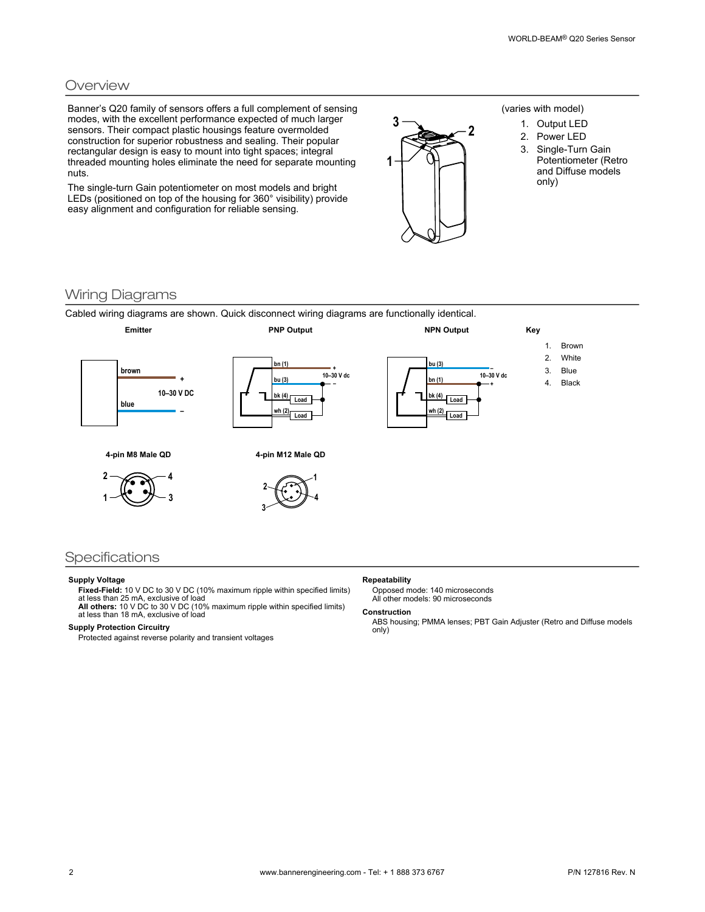### **Overview**

Banner's Q20 family of sensors offers a full complement of sensing modes, with the excellent performance expected of much larger sensors. Their compact plastic housings feature overmolded construction for superior robustness and sealing. Their popular rectangular design is easy to mount into tight spaces; integral threaded mounting holes eliminate the need for separate mounting nuts.

The single-turn Gain potentiometer on most models and bright LEDs (positioned on top of the housing for 360° visibility) provide easy alignment and configuration for reliable sensing.



### (varies with model)

- 1. Output LED
- 2. Power LED
- 3. Single-Turn Gain Potentiometer (Retro and Diffuse models only)

### Wiring Diagrams

Cabled wiring diagrams are shown. Quick disconnect wiring diagrams are functionally identical.

**3**



### Specifications

#### **Supply Voltage**

**Fixed-Field:** 10 V DC to 30 V DC (10% maximum ripple within specified limits) at less than 25 mA, exclusive of load

**All others:** 10 V DC to 30 V DC (10% maximum ripple within specified limits) at less than 18 mA, exclusive of load

### **Supply Protection Circuitry**

Protected against reverse polarity and transient voltages

#### **Repeatability**

Opposed mode: 140 microseconds All other models: 90 microseconds

#### **Construction**

ABS housing; PMMA lenses; PBT Gain Adjuster (Retro and Diffuse models only)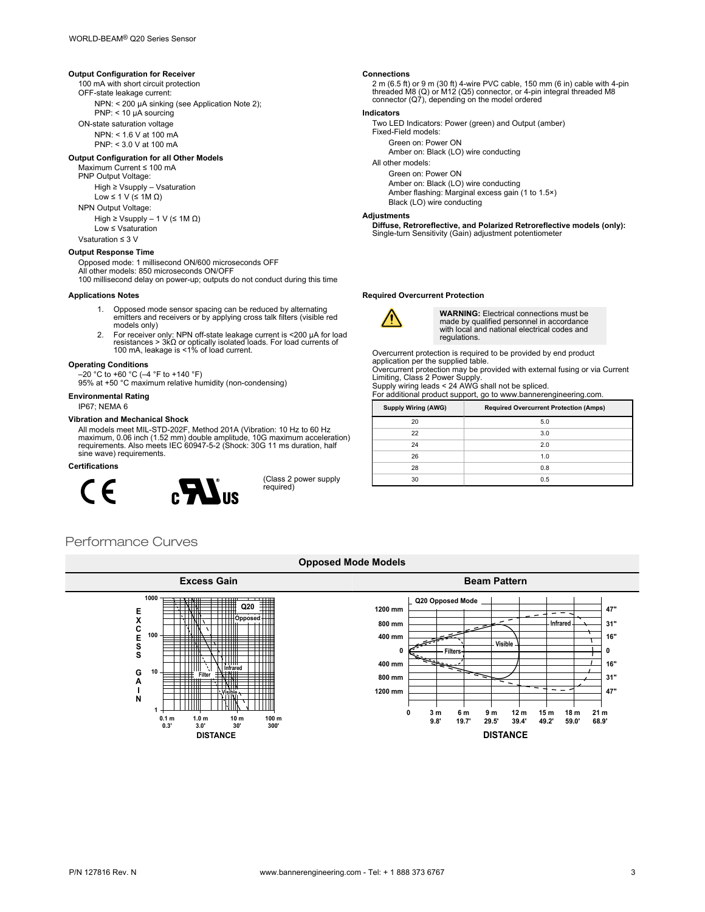### **Output Configuration for Receiver**

100 mA with short circuit protection

OFF-state leakage current:

NPN: < 200 µA sinking (see Application Note 2); PNP: < 10 µA sourcing

ON-state saturation voltage

NPN: < 1.6 V at 100 mA

PNP: < 3.0 V at 100 mA

#### **Output Configuration for all Other Models**

Maximum Current ≤ 100 mA

PNP Output Voltage:

High ≥ Vsupply – Vsaturation

Low ≤ 1 V (≤ 1M Ω)

NPN Output Voltage: High  $\geq$  Vsupply – 1 V ( $\leq$  1M  $\Omega$ )

Low ≤ Vsaturation

Vsaturation ≤ 3 V

#### **Output Response Time**

Opposed mode: 1 millisecond ON/600 microseconds OFF

- All other models: 850 microseconds ON/OFF
- 100 millisecond delay on power-up; outputs do not conduct during this time **Applications Notes**
	- 1. Opposed mode sensor spacing can be reduced by alternating emitters and receivers or by applying cross talk filters (visible red models only)
	- 2. For receiver only: NPN off-state leakage current is <200 µA for load resistances > 3kΩ or optically isolated loads. For load currents of 100 mA, leakage is <1% of load current.

#### **Operating Conditions**

–20 °C to +60 °C (–4 °F to +140 °F)

95% at +50 °C maximum relative humidity (non-condensing)

### **Environmental Rating**

### IP67; NEMA 6

#### **Vibration and Mechanical Shock**

All models meet MIL-STD-202F, Method 201A (Vibration: 10 Hz to 60 Hz<br>maximum, 0.06 inch (1.52 mm) double amplitude, 10G maximum acceleration)<br>requirements. Also meets IEC 60947-5-2 (Shock: 30G 11 ms duration, half<br>sine wav

#### **Certifications**



(Class 2 power supply required)

#### **Connections**

2 m (6.5 ft) or 9 m (30 ft) 4-wire PVC cable, 150 mm (6 in) cable with 4-pin<br>threaded M8 (Q) or M12 (Q5) connector, or 4-pin integral threaded M8<br>connector (Q7), depending on the model ordered

### **Indicators**

Two LED Indicators: Power (green) and Output (amber) Fixed-Field models:

Green on: Power ON

Amber on: Black (LO) wire conducting

All other models:

### Green on: Power ON

Amber on: Black (LO) wire conducting Amber flashing: Marginal excess gain (1 to 1.5×) Black (LO) wire conducting

#### **Adjustments**

**Diffuse, Retroreflective, and Polarized Retroreflective models (only):** Single-turn Sensitivity (Gain) adjustment potentiometer

#### **Required Overcurrent Protection**



**WARNING:** Electrical connections must be made by qualified personnel in accordance with local and national electrical codes and regulations.

Overcurrent protection is required to be provided by end product application per the supplied table.

Overcurrent protection may be provided with external fusing or via Current Limiting, Class 2 Power Supply.

Supply wiring leads < 24 AWG shall not be spliced.

For additional product support, go to www.bannerengineering.com.

| <b>Supply Wiring (AWG)</b> | <b>Required Overcurrent Protection (Amps)</b> |
|----------------------------|-----------------------------------------------|
| 20                         | 5.0                                           |
| 22                         | 3.0                                           |
| 24                         | 2.0                                           |
| 26                         | 1.0                                           |
| 28                         | 0.8                                           |
| 30                         | 0.5                                           |

# Performance Curves



#### **Opposed Mode Models**

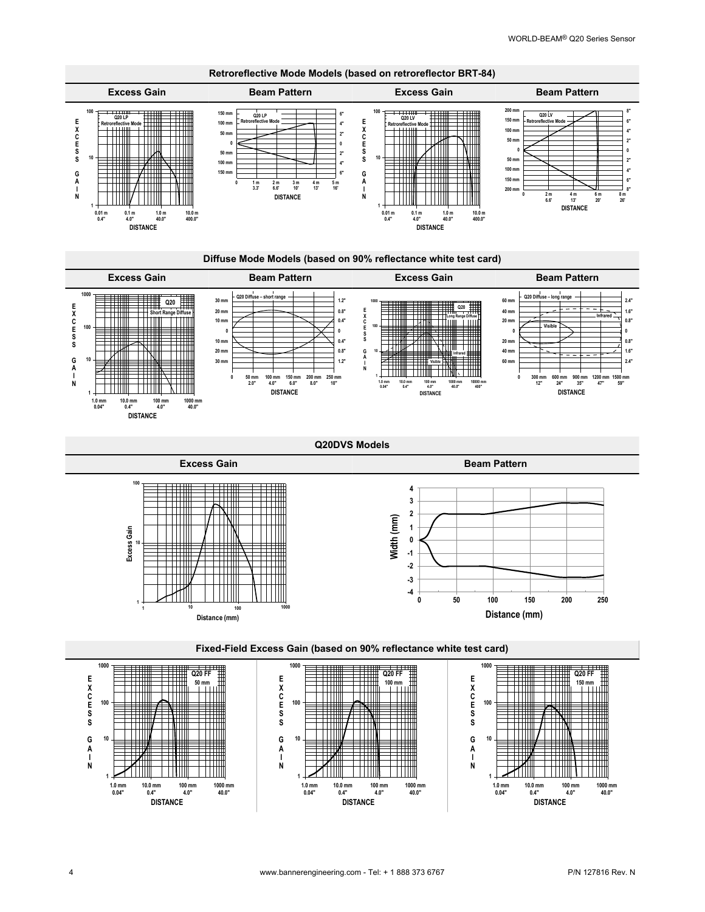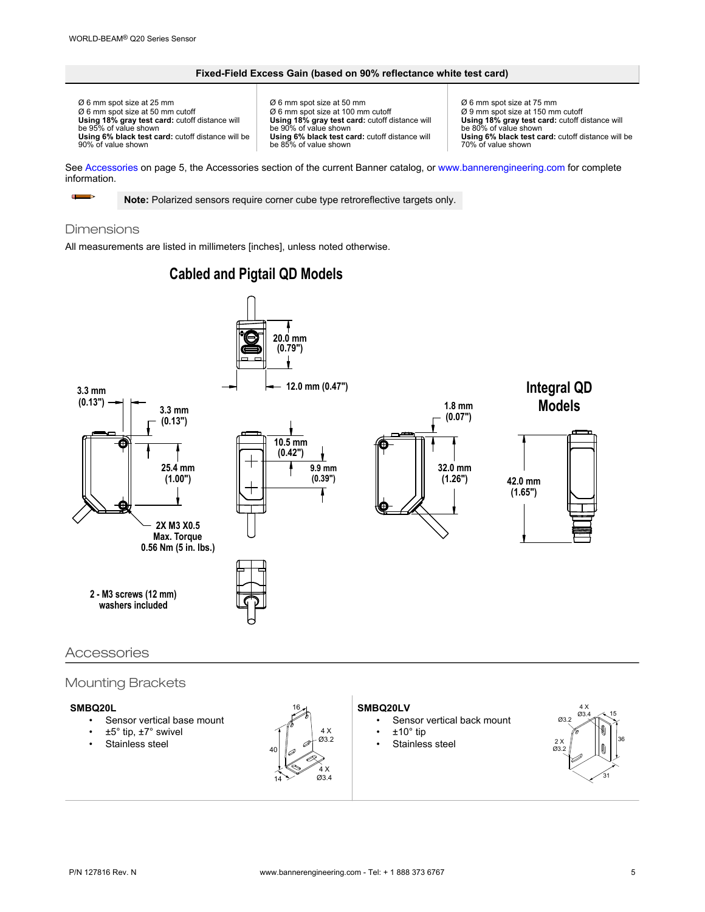### **Fixed-Field Excess Gain (based on 90% reflectance white test card)**

Ø 6 mm spot size at 25 mm Ø 6 mm spot size at 50 mm cutoff **Using 18% gray test card:** cutoff distance will be 95% of value shown **Using 6% black test card:** cutoff distance will be 90% of value shown

Ø 6 mm spot size at 50 mm Ø 6 mm spot size at 100 mm cutoff **Using 18% gray test card:** cutoff distance will be 90% of value shown **Using 6% black test card:** cutoff distance will be 85% of value shown

Ø 6 mm spot size at 75 mm Ø 9 mm spot size at 150 mm cutoff **Using 18% gray test card:** cutoff distance will be 80% of value shown **Using 6% black test card:** cutoff distance will be 70% of value shown

See Accessories on page 5, the Accessories section of the current Banner catalog, or [www.bannerengineering.com](http://www.bannerengineering.com) for complete information.

**Note:** Polarized sensors require corner cube type retroreflective targets only.

### Dimensions

 $\blacksquare$  $\Rightarrow$ 

All measurements are listed in millimeters [inches], unless noted otherwise.



# **Cabled and Pigtail QD Models**

# Accessories

## Mounting Brackets

### **SMBQ20L**

- Sensor vertical base mount
- ±5° tip, ±7° swivel
- Stainless steel



#### **SMBQ20LV**

- Sensor vertical back mount
- $±10°$  tip
- Stainless steel

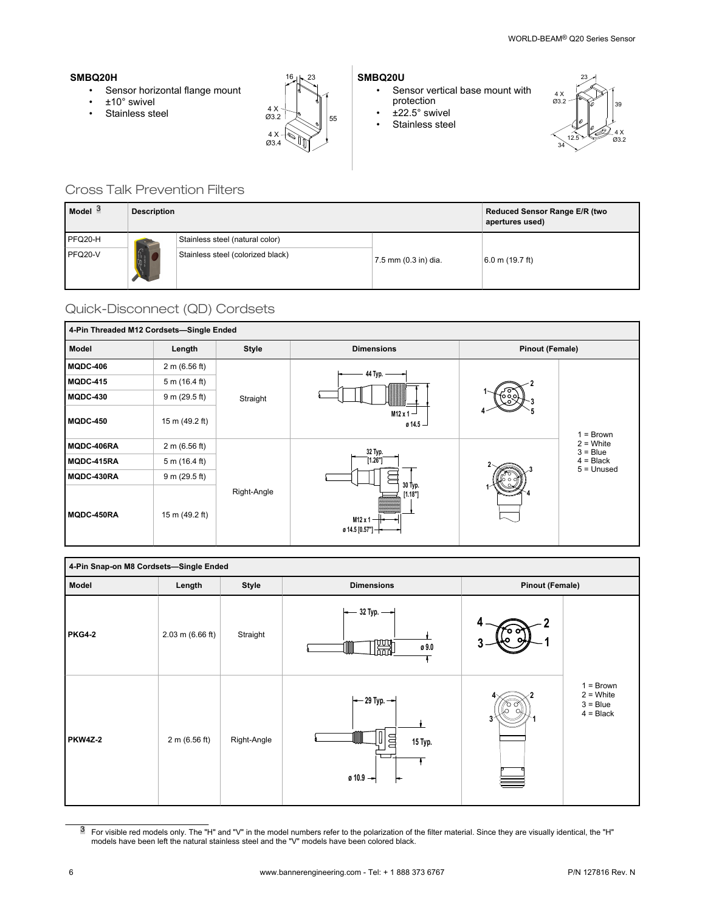### **SMBQ20H**

- Sensor horizontal flange mount
- ±10° swivel
- 



### **SMBQ20U**

- Sensor vertical base mount with protection
- ±22.5° swivel
- Stainless steel



## Cross Talk Prevention Filters

| Model <sup>3</sup> | <b>Description</b>                                                                                                                                                                                                                                                                                                                                  |                                   | Reduced Sensor Range E/R (two<br>apertures used) |                   |
|--------------------|-----------------------------------------------------------------------------------------------------------------------------------------------------------------------------------------------------------------------------------------------------------------------------------------------------------------------------------------------------|-----------------------------------|--------------------------------------------------|-------------------|
| PFQ20-H            |                                                                                                                                                                                                                                                                                                                                                     | Stainless steel (natural color)   |                                                  |                   |
| PFQ20-V            | $\begin{picture}(20,10) \put(0,0){\line(1,0){15}} \put(15,0){\line(1,0){15}} \put(15,0){\line(1,0){15}} \put(15,0){\line(1,0){15}} \put(15,0){\line(1,0){15}} \put(15,0){\line(1,0){15}} \put(15,0){\line(1,0){15}} \put(15,0){\line(1,0){15}} \put(15,0){\line(1,0){15}} \put(15,0){\line(1,0){15}} \put(15,0){\line(1,0){15}} \put(15,0){\line(1$ | Stainless steel (colorized black) | 7.5 mm (0.3 in) dia.                             | $6.0$ m (19.7 ft) |

# Quick-Disconnect (QD) Cordsets

| 4-Pin Threaded M12 Cordsets-Single Ended |                |              |                                                                                                  |                        |                                                                       |  |
|------------------------------------------|----------------|--------------|--------------------------------------------------------------------------------------------------|------------------------|-----------------------------------------------------------------------|--|
| Model                                    | Length         | <b>Style</b> | <b>Dimensions</b>                                                                                | <b>Pinout (Female)</b> |                                                                       |  |
| MQDC-406                                 | 2 m (6.56 ft)  |              | 44 Typ.                                                                                          |                        |                                                                       |  |
| MQDC-415                                 | 5 m (16.4 ft)  | Straight     | M <sub>12</sub> x 1 $-$<br>$0.14.5 -$                                                            |                        |                                                                       |  |
| MQDC-430                                 | 9 m (29.5 ft)  |              |                                                                                                  |                        | $= Brown$<br>$2 =$ White<br>$3 = Blue$<br>$4 = Black$<br>$5 =$ Unused |  |
| MQDC-450                                 | 15 m (49.2 ft) |              |                                                                                                  |                        |                                                                       |  |
| MQDC-406RA                               | 2 m (6.56 ft)  |              | 32 Typ.<br>$[1.26"]$<br>30 Typ.<br>$[1.18"]$<br>$M12 \times 1$ –<br>ø 14.5 [0.57"] $\rightarrow$ |                        |                                                                       |  |
| MQDC-415RA                               | 5 m (16.4 ft)  |              |                                                                                                  |                        |                                                                       |  |
| MQDC-430RA                               | 9 m (29.5 ft)  |              |                                                                                                  |                        |                                                                       |  |
| MQDC-450RA                               | 15 m (49.2 ft) | Right-Angle  |                                                                                                  |                        |                                                                       |  |

| 4-Pin Snap-on M8 Cordsets-Single Ended |                            |              |                                                                         |   |                                                         |  |
|----------------------------------------|----------------------------|--------------|-------------------------------------------------------------------------|---|---------------------------------------------------------|--|
| Model                                  | Length                     | <b>Style</b> | <b>Dimensions</b>                                                       |   | <b>Pinout (Female)</b>                                  |  |
| <b>PKG4-2</b>                          | $2.03 \text{ m}$ (6.66 ft) | Straight     | $\leftarrow$ 32 Typ. $\leftarrow$<br>圌<br>ø 9.0                         | о |                                                         |  |
| <b>PKW4Z-2</b>                         | 2 m (6.56 ft)              | Right-Angle  | $\leftarrow$ 29 Typ. $\rightarrow$<br>I<br>目<br>15 Typ.<br>$0.9 -$<br>⊢ |   | $1 = Brown$<br>$2 =$ White<br>$3 = Blue$<br>$4 = Black$ |  |

<sup>3</sup> For visible red models only. The "H" and "V" in the model numbers refer to the polarization of the filter material. Since they are visually identical, the "H" models have been left the natural stainless steel and the "V" models have been colored black.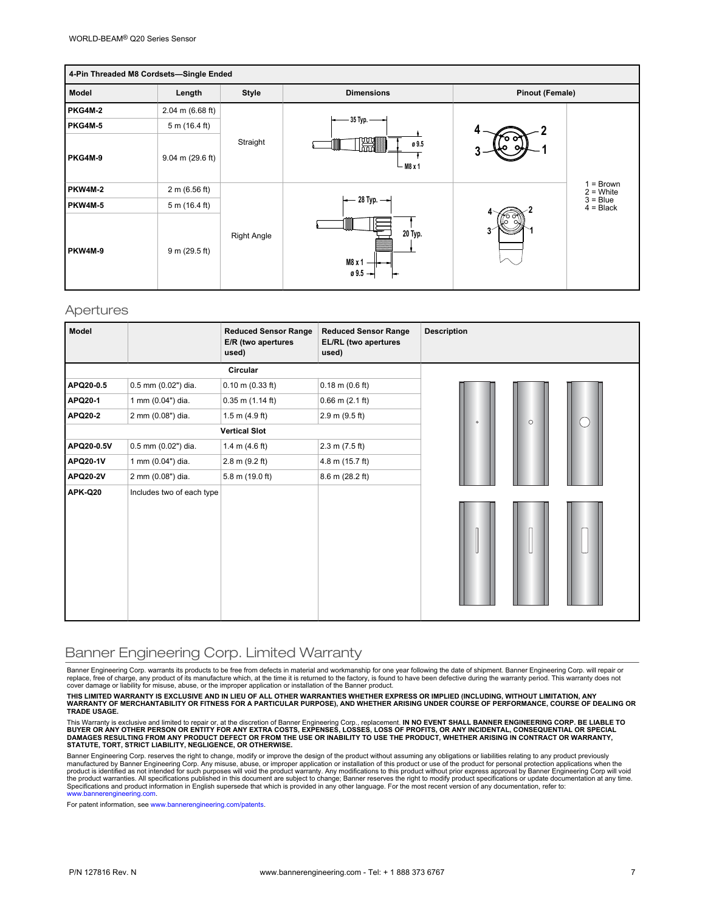| 4-Pin Threaded M8 Cordsets-Single Ended |                    |              |                                    |                        |                                                     |  |
|-----------------------------------------|--------------------|--------------|------------------------------------|------------------------|-----------------------------------------------------|--|
| Model                                   | Length             | <b>Style</b> | <b>Dimensions</b>                  | <b>Pinout (Female)</b> |                                                     |  |
| <b>PKG4M-2</b>                          | $2.04$ m (6.68 ft) |              |                                    | o                      |                                                     |  |
| PKG4M-5                                 | 5 m (16.4 ft)      |              | $-35$ Typ. $-$                     |                        |                                                     |  |
| PKG4M-9                                 | $9.04$ m (29.6 ft) | Straight     | ø 9.5<br>lhnnl<br>$-$ M8 x 1       |                        | = Brown<br>$2 =$ White<br>$3 = Blue$<br>$4 = Black$ |  |
| <b>PKW4M-2</b>                          | 2 m (6.56 ft)      |              |                                    |                        |                                                     |  |
| PKW4M-5                                 | 5 m (16.4 ft)      |              | $\leftarrow$ 28 Typ. $\rightarrow$ |                        |                                                     |  |
| PKW4M-9                                 | 9 m (29.5 ft)      | Right Angle  | 20 Typ.<br>M8 x 1<br>0.5           |                        |                                                     |  |

### Apertures

| <b>Model</b>    |                           | <b>Reduced Sensor Range</b><br>E/R (two apertures<br>used) | <b>Reduced Sensor Range</b><br>EL/RL (two apertures<br>used) | <b>Description</b> |
|-----------------|---------------------------|------------------------------------------------------------|--------------------------------------------------------------|--------------------|
|                 |                           |                                                            |                                                              |                    |
| APQ20-0.5       | 0.5 mm (0.02") dia.       | $0.10$ m $(0.33$ ft)                                       | $0.18$ m $(0.6$ ft)                                          |                    |
| <b>APQ20-1</b>  | 1 mm (0.04") dia.         | $0.35$ m $(1.14$ ft)                                       | $0.66$ m $(2.1$ ft)                                          |                    |
| APQ20-2         | 2 mm (0.08") dia.         | $1.5$ m $(4.9$ ft)                                         | 2.9 m (9.5 ft)                                               | $\circ$<br>$\circ$ |
|                 |                           | <b>Vertical Slot</b>                                       |                                                              |                    |
| APQ20-0.5V      | 0.5 mm (0.02") dia.       | 1.4 m $(4.6 \text{ ft})$                                   | 2.3 m (7.5 ft)                                               |                    |
| <b>APQ20-1V</b> | 1 mm (0.04") dia.         | $2.8 \text{ m} (9.2 \text{ ft})$                           | 4.8 m (15.7 ft)                                              |                    |
| <b>APQ20-2V</b> | 2 mm (0.08") dia.         | 5.8 m (19.0 ft)                                            | $8.6$ m (28.2 ft)                                            |                    |
| APK-Q20         | Includes two of each type |                                                            |                                                              |                    |

### Banner Engineering Corp. Limited Warranty

Banner Engineering Corp. warrants its products to be free from defects in material and workmanship for one year following the date of shipment. Banner Engineering Corp. will repair or<br>replace, free of charge, any product o cover damage or liability for misuse, abuse, or the improper application or installation of the Banner product.

THIS LIMITED WARRANTY IS EXCLUSIVE AND IN LIEU OF ALL OTHER WARRANTIES WHETHER EXPRESS OR IMPLIED (INCLUDING, WITHOUT LIMITATION, ANY<br>WARRANTY OF MERCHANTABILITY OR FITNESS FOR A PARTICULAR PURPOSE), AND WHETHER ARISING UN **TRADE USAGE.**

This Warranty is exclusive and limited to repair or, at the discretion of Banner Engineering Corp., replacement. IN NO EVENT SHALL BANNER ENGINEERING CORP. BE LIABLE TO<br>BUYER OR ANY OTHER PERSON OR ENTITY FOR ANY EXTRA COS

Banner Engineering Corp. reserves the right to change, modify or improve the design of the product without assuming any obligations or liabilities relating to any product previously<br>manufactured by Banner Engineering Corp. product is identified as not intended for such purposes will void the product warranty. Any modifications to this product without prior express approval by Banner Engineering Corp will void<br>the product warranties. All spec [www.bannerengineering.com](http://www.bannerengineering.com).

For patent information, see [www.bannerengineering.com/patents](http://www.bannerengineering.com/patents).